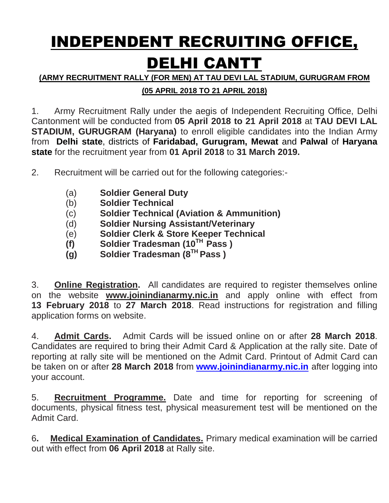# INDEPENDENT RECRUITING OFFICE, DELHI CANTT

#### **(ARMY RECRUITMENT RALLY (FOR MEN) AT TAU DEVI LAL STADIUM, GURUGRAM FROM**

# **(05 APRIL 2018 TO 21 APRIL 2018)**

1. Army Recruitment Rally under the aegis of Independent Recruiting Office, Delhi Cantonment will be conducted from **05 April 2018 to 21 April 2018** at **TAU DEVI LAL STADIUM, GURUGRAM (Haryana)** to enroll eligible candidates into the Indian Army from **Delhi state**, districts of **Faridabad, Gurugram, Mewat** and **Palwal** of **Haryana state** for the recruitment year from **01 April 2018** to **31 March 2019.**

- 2. Recruitment will be carried out for the following categories:-
	- (a) **Soldier General Duty**
	- (b) **Soldier Technical**
	- (c) **Soldier Technical (Aviation & Ammunition)**
	- (d) **Soldier Nursing Assistant/Veterinary**
	- (e) **Soldier Clerk & Store Keeper Technical**
	- **(f) Soldier Tradesman (10TH Pass )**
	- **(g) Soldier Tradesman (8TH Pass )**

3. **Online Registration.** All candidates are required to register themselves online on the website **www.joinindianarmy.nic.in** and apply online with effect from **13 February 2018** to **27 March 2018**. Read instructions for registration and filling application forms on website.

4. **Admit Cards.** Admit Cards will be issued online on or after **28 March 2018**. Candidates are required to bring their Admit Card & Application at the rally site. Date of reporting at rally site will be mentioned on the Admit Card. Printout of Admit Card can be taken on or after **28 March 2018** from **[www.joinindianarmy.nic.in](http://www.joinindianarmy.nic.in/)** after logging into your account.

5. **Recruitment Programme.** Date and time for reporting for screening of documents, physical fitness test, physical measurement test will be mentioned on the Admit Card.

6**. Medical Examination of Candidates.** Primary medical examination will be carried out with effect from **06 April 2018** at Rally site.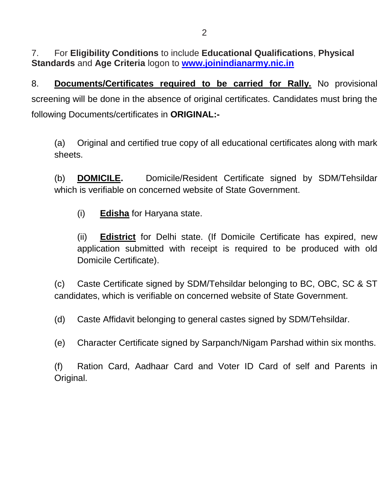7. For **Eligibility Conditions** to include **Educational Qualifications**, **Physical Standards** and **Age Criteria** logon to **[www.joinindianarmy.nic.in](http://www.joinindianarmy.nic.in/)**

8. **Documents/Certificates required to be carried for Rally.** No provisional screening will be done in the absence of original certificates. Candidates must bring the following Documents/certificates in **ORIGINAL:-**

(a) Original and certified true copy of all educational certificates along with mark sheets.

(b) **DOMICILE.** Domicile/Resident Certificate signed by SDM/Tehsildar which is verifiable on concerned website of State Government.

(i) **Edisha** for Haryana state.

(ii) **Edistrict** for Delhi state. (If Domicile Certificate has expired, new application submitted with receipt is required to be produced with old Domicile Certificate).

(c) Caste Certificate signed by SDM/Tehsildar belonging to BC, OBC, SC & ST candidates, which is verifiable on concerned website of State Government.

(d) Caste Affidavit belonging to general castes signed by SDM/Tehsildar.

(e) Character Certificate signed by Sarpanch/Nigam Parshad within six months.

(f) Ration Card, Aadhaar Card and Voter ID Card of self and Parents in Original.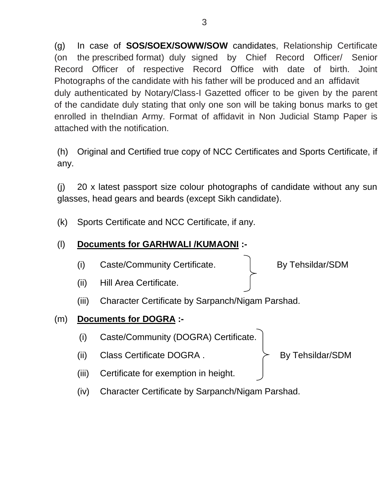(g) In case of **SOS/SOEX/SOWW/SOW** candidates, Relationship Certificate (on the prescribed format) duly signed by Chief Record Officer/ Senior Record Officer of respective Record Office with date of birth. Joint Photographs of the candidate with his father will be produced and an affidavit duly authenticated by Notary/Class-I Gazetted officer to be given by the parent of the candidate duly stating that only one son will be taking bonus marks to get enrolled in theIndian Army. Format of affidavit in Non Judicial Stamp Paper is attached with the notification.

(h) Original and Certified true copy of NCC Certificates and Sports Certificate, if any.

(j) 20 x latest passport size colour photographs of candidate without any sun glasses, head gears and beards (except Sikh candidate).

(k) Sports Certificate and NCC Certificate, if any.

# (l) **Documents for GARHWALI /KUMAONI :-**

(i) Caste/Community Certificate. By Tehsildar/SDM

- (ii) Hill Area Certificate.
- (iii) Character Certificate by Sarpanch/Nigam Parshad.

# (m) **Documents for DOGRA :-**

- (i) Caste/Community (DOGRA) Certificate.
- (ii) Class Certificate DOGRA .  $\rightarrow$  By Tehsildar/SDM

- (iii) Certificate for exemption in height.
- (iv) Character Certificate by Sarpanch/Nigam Parshad.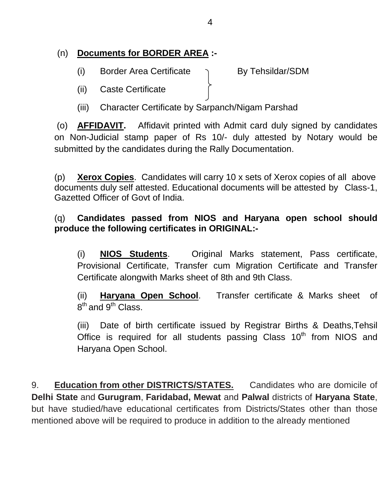# (n) **Documents for BORDER AREA :-**

(i) Border Area Certificate  $\bigcap$  By Tehsildar/SDM

- (ii) Caste Certificate
- (iii) Character Certificate by Sarpanch/Nigam Parshad

(o) **AFFIDAVIT.** Affidavit printed with Admit card duly signed by candidates on Non-Judicial stamp paper of Rs 10/- duly attested by Notary would be submitted by the candidates during the Rally Documentation.

(p) **Xerox Copies**. Candidates will carry 10 x sets of Xerox copies of all above documents duly self attested. Educational documents will be attested by Class-1, Gazetted Officer of Govt of India.

# (q) **Candidates passed from NIOS and Haryana open school should produce the following certificates in ORIGINAL:-**

(i) **NIOS Students**. Original Marks statement, Pass certificate, Provisional Certificate, Transfer cum Migration Certificate and Transfer Certificate alongwith Marks sheet of 8th and 9th Class.

(ii) **Haryana Open School**. Transfer certificate & Marks sheet of  $8^{\text{th}}$  and  $9^{\text{th}}$  Class.

(iii) Date of birth certificate issued by Registrar Births & Deaths,Tehsil Office is required for all students passing Class  $10<sup>th</sup>$  from NIOS and Haryana Open School.

9. **Education from other DISTRICTS/STATES.** Candidates who are domicile of **Delhi State** and **Gurugram**, **Faridabad, Mewat** and **Palwal** districts of **Haryana State**, but have studied/have educational certificates from Districts/States other than those mentioned above will be required to produce in addition to the already mentioned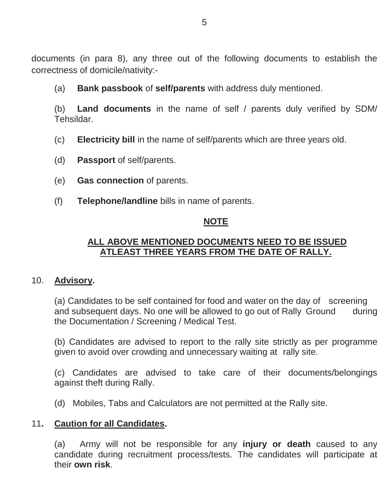documents (in para 8), any three out of the following documents to establish the correctness of domicile/nativity:-

(a) **Bank passbook** of **self/parents** with address duly mentioned.

(b) **Land documents** in the name of self / parents duly verified by SDM/ Tehsildar.

- (c) **Electricity bill** in the name of self/parents which are three years old.
- (d) **Passport** of self/parents.
- (e) **Gas connection** of parents.
- (f) **Telephone/landline** bills in name of parents.

#### **NOTE**

#### **ALL ABOVE MENTIONED DOCUMENTS NEED TO BE ISSUED ATLEAST THREE YEARS FROM THE DATE OF RALLY.**

#### 10. **Advisory.**

(a) Candidates to be self contained for food and water on the day of screening and subsequent days. No one will be allowed to go out of Rally Ground during the Documentation / Screening / Medical Test.

(b) Candidates are advised to report to the rally site strictly as per programme given to avoid over crowding and unnecessary waiting at rally site.

(c) Candidates are advised to take care of their documents/belongings against theft during Rally.

(d) Mobiles, Tabs and Calculators are not permitted at the Rally site.

#### 11**. Caution for all Candidates.**

(a) Army will not be responsible for any **injury or death** caused to any candidate during recruitment process/tests. The candidates will participate at their **own risk**.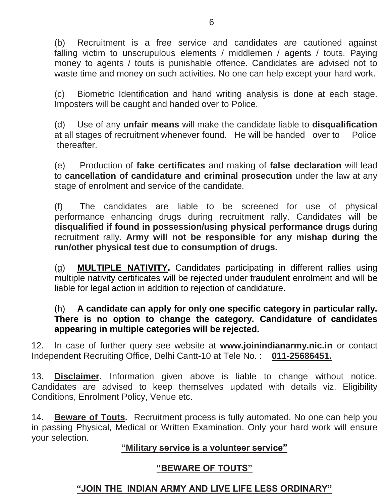(b) Recruitment is a free service and candidates are cautioned against falling victim to unscrupulous elements / middlemen / agents / touts. Paying money to agents / touts is punishable offence. Candidates are advised not to waste time and money on such activities. No one can help except your hard work.

(c) Biometric Identification and hand writing analysis is done at each stage. Imposters will be caught and handed over to Police.

(d) Use of any **unfair means** will make the candidate liable to **disqualification** at all stages of recruitment whenever found. He will be handed over to Police thereafter.

(e) Production of **fake certificates** and making of **false declaration** will lead to **cancellation of candidature and criminal prosecution** under the law at any stage of enrolment and service of the candidate.

(f) The candidates are liable to be screened for use of physical performance enhancing drugs during recruitment rally. Candidates will be **disqualified if found in possession/using physical performance drugs** during recruitment rally. **Army will not be responsible for any mishap during the run/other physical test due to consumption of drugs.**

(g) **MULTIPLE NATIVITY.** Candidates participating in different rallies using multiple nativity certificates will be rejected under fraudulent enrolment and will be liable for legal action in addition to rejection of candidature.

#### (h) **A candidate can apply for only one specific category in particular rally. There is no option to change the category. Candidature of candidates appearing in multiple categories will be rejected.**

12. In case of further query see website at **www.joinindianarmy.nic.in** or contact Independent Recruiting Office, Delhi Cantt-10 at Tele No. : **011-25686451.**

13. **Disclaimer.** Information given above is liable to change without notice. Candidates are advised to keep themselves updated with details viz. Eligibility Conditions, Enrolment Policy, Venue etc.

14. **Beware of Touts.** Recruitment process is fully automated. No one can help you in passing Physical, Medical or Written Examination. Only your hard work will ensure your selection.

#### **"Military service is a volunteer service"**

# **"BEWARE OF TOUTS"**

# **"JOIN THE INDIAN ARMY AND LIVE LIFE LESS ORDINARY"**